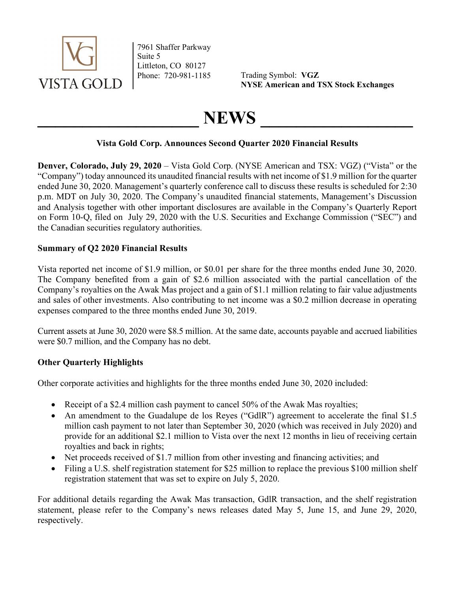

7961 Shaffer Parkway Suite 5 Littleton, CO 80127

Phone: 720-981-1185 Trading Symbol: VGZ NYSE American and TSX Stock Exchanges

# NEWS

## Vista Gold Corp. Announces Second Quarter 2020 Financial Results

Denver, Colorado, July 29, 2020 – Vista Gold Corp. (NYSE American and TSX: VGZ) ("Vista" or the "Company") today announced its unaudited financial results with net income of \$1.9 million for the quarter ended June 30, 2020. Management's quarterly conference call to discuss these results is scheduled for 2:30 p.m. MDT on July 30, 2020. The Company's unaudited financial statements, Management's Discussion and Analysis together with other important disclosures are available in the Company's Quarterly Report on Form 10-Q, filed on July 29, 2020 with the U.S. Securities and Exchange Commission ("SEC") and the Canadian securities regulatory authorities.

## Summary of Q2 2020 Financial Results

Vista reported net income of \$1.9 million, or \$0.01 per share for the three months ended June 30, 2020. The Company benefited from a gain of \$2.6 million associated with the partial cancellation of the Company's royalties on the Awak Mas project and a gain of \$1.1 million relating to fair value adjustments and sales of other investments. Also contributing to net income was a \$0.2 million decrease in operating expenses compared to the three months ended June 30, 2019.

Current assets at June 30, 2020 were \$8.5 million. At the same date, accounts payable and accrued liabilities were \$0.7 million, and the Company has no debt.

# Other Quarterly Highlights

Other corporate activities and highlights for the three months ended June 30, 2020 included:

- Receipt of a \$2.4 million cash payment to cancel 50% of the Awak Mas royalties;
- An amendment to the Guadalupe de los Reyes ("GdlR") agreement to accelerate the final \$1.5 million cash payment to not later than September 30, 2020 (which was received in July 2020) and provide for an additional \$2.1 million to Vista over the next 12 months in lieu of receiving certain royalties and back in rights;
- Net proceeds received of \$1.7 million from other investing and financing activities; and
- Filing a U.S. shelf registration statement for \$25 million to replace the previous \$100 million shelf registration statement that was set to expire on July 5, 2020.

For additional details regarding the Awak Mas transaction, GdlR transaction, and the shelf registration statement, please refer to the Company's news releases dated May 5, June 15, and June 29, 2020, respectively.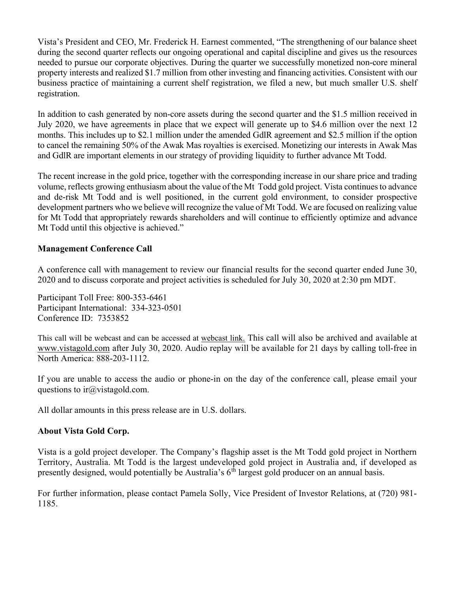Vista's President and CEO, Mr. Frederick H. Earnest commented, "The strengthening of our balance sheet during the second quarter reflects our ongoing operational and capital discipline and gives us the resources needed to pursue our corporate objectives. During the quarter we successfully monetized non-core mineral property interests and realized \$1.7 million from other investing and financing activities. Consistent with our business practice of maintaining a current shelf registration, we filed a new, but much smaller U.S. shelf registration.

In addition to cash generated by non-core assets during the second quarter and the \$1.5 million received in July 2020, we have agreements in place that we expect will generate up to \$4.6 million over the next 12 months. This includes up to \$2.1 million under the amended GdlR agreement and \$2.5 million if the option to cancel the remaining 50% of the Awak Mas royalties is exercised. Monetizing our interests in Awak Mas and GdlR are important elements in our strategy of providing liquidity to further advance Mt Todd.

The recent increase in the gold price, together with the corresponding increase in our share price and trading volume, reflects growing enthusiasm about the value of the Mt Todd gold project. Vista continues to advance and de-risk Mt Todd and is well positioned, in the current gold environment, to consider prospective development partners who we believe will recognize the value of Mt Todd. We are focused on realizing value for Mt Todd that appropriately rewards shareholders and will continue to efficiently optimize and advance Mt Todd until this objective is achieved."

#### Management Conference Call

A conference call with management to review our financial results for the second quarter ended June 30, 2020 and to discuss corporate and project activities is scheduled for July 30, 2020 at 2:30 pm MDT.

Participant Toll Free: 800-353-6461 Participant International: 334-323-0501 Conference ID: 7353852

This call will be webcast and can be accessed at webcast link. This call will also be archived and available at www.vistagold.com after July 30, 2020. Audio replay will be available for 21 days by calling toll-free in North America: 888-203-1112.

If you are unable to access the audio or phone-in on the day of the conference call, please email your questions to ir $\omega$ vistagold.com.

All dollar amounts in this press release are in U.S. dollars.

#### About Vista Gold Corp.

Vista is a gold project developer. The Company's flagship asset is the Mt Todd gold project in Northern Territory, Australia. Mt Todd is the largest undeveloped gold project in Australia and, if developed as presently designed, would potentially be Australia's  $6<sup>th</sup>$  largest gold producer on an annual basis.

For further information, please contact Pamela Solly, Vice President of Investor Relations, at (720) 981- 1185.